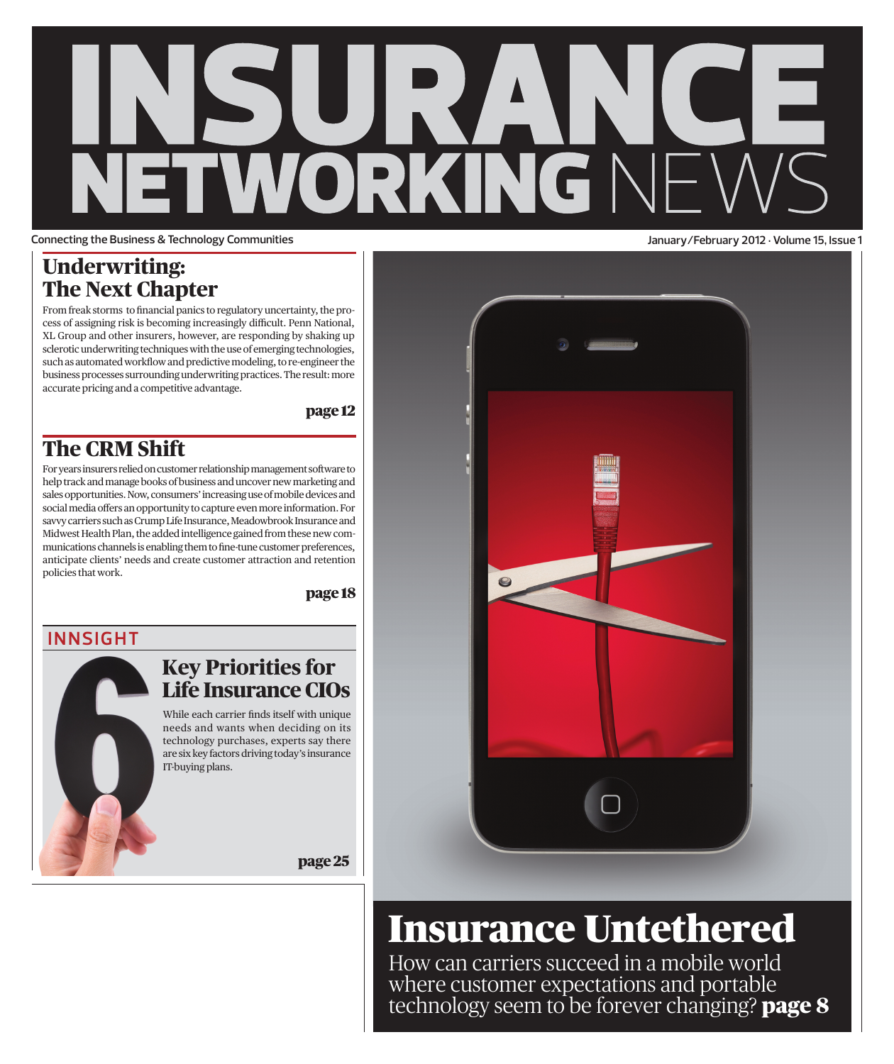# RV. U VORKINGN **Connecting the Business & Technology Communities January/February 2012 • Volume 15, Issue 1**

### **Underwriting: The Next Chapter**

From freak storms to financial panics to regulatory uncertainty, the process of assigning risk is becoming increasingly difficult. Penn National, XL Group and other insurers, however, are responding by shaking up sclerotic underwriting techniques with the use of emerging technologies, such as automated workflow and predictive modeling, to re-engineer the business processes surrounding underwriting practices. The result: more accurate pricing and a competitive advantage.

page 12

## **The CRM Shift**

For years insurers relied on customer relationship management software to help track and manage books of business and uncover new marketing and sales opportunities. Now, consumers' increasing use of mobile devices and social media offers an opportunity to capture even more information. For savvy carriers such as Crump Life Insurance, Meadowbrook Insurance and Midwest Health Plan, the added intelligence gained from these new communications channels is enabling them to fine-tune customer preferences, anticipate clients' needs and create customer attraction and retention policies that work.

page 18

### **INNSIGHT**

### **Key Priorities for Life Insurance CIOs**

While each carrier finds itself with unique needs and wants when deciding on its technology purchases, experts say there are six key factors driving today's insurance IT-buying plans.

page 25



## Insurance Untethered

How can carriers succeed in a mobile world where customer expectations and portable technology seem to be forever changing? **page 8**